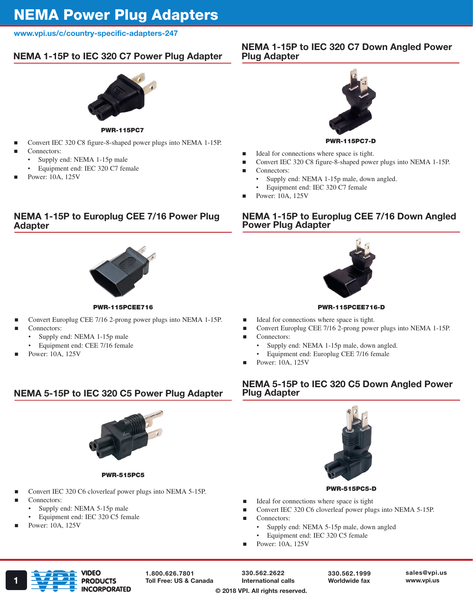# NEMA Power Plug Adapters

#### www.vpi.us/c/country-specific-adapters-247

# NEMA 1-15P to IEC 320 C7 Power Plug Adapter



PWR-115PC7

- Convert IEC 320 C8 figure-8-shaped power plugs into NEMA 1-15P. Connectors:
	- Supply end: NEMA 1-15p male
	- Equipment end: IEC 320 C7 female
- Power: 10A, 125V

# NEMA 1-15P to IEC 320 C7 Down Angled Power Plug Adapter



PWR-115PC7-D

- Ideal for connections where space is tight.
- Convert IEC 320 C8 figure-8-shaped power plugs into NEMA 1-15P.

NEMA 1-15P to Europlug CEE 7/16 Down Angled

- Connectors:
	- Supply end: NEMA 1-15p male, down angled.
	- Equipment end: IEC 320 C7 female
- Power: 10A, 125V

Power Plug Adapter

# NEMA 1-15P to Europlug CEE 7/16 Power Plug Adapter



PWR-115PCEE716

- Convert Europlug CEE 7/16 2-prong power plugs into NEMA 1-15P.
- Connectors:
	- Supply end: NEMA 1-15p male
		- Equipment end: CEE 7/16 female
- Power: 10A, 125V



PWR-115PCEE716-D

- Ideal for connections where space is tight.
	- Convert Europlug CEE 7/16 2-prong power plugs into NEMA 1-15P.
- Connectors:
	- Supply end: NEMA 1-15p male, down angled.
	- Equipment end: Europlug CEE 7/16 female
- Power: 10A, 125V

# NEMA 5-15P to IEC 320 C5 Power Plug Adapter



PWR-515PC5

- Convert IEC 320 C6 cloverleaf power plugs into NEMA 5-15P.
- Connectors:
	- Supply end: NEMA 5-15p male
	- Equipment end: IEC 320 C5 female
- Power: 10A, 125V





#### PWR-515PC5-D

- Ideal for connections where space is tight
- Convert IEC 320 C6 cloverleaf power plugs into NEMA 5-15P.
- Connectors:
	- Supply end: NEMA 5-15p male, down angled
	- Equipment end: IEC 320 C5 female
- Power: 10A, 125V



1.800.626.7801

330.562.2622 International calls

330.562.1999 Worldwide fax sales@vpi.us

#### © 2018 VPI. All rights reserved.